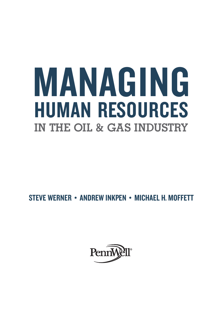# MANAGING HUMAN RESOURCES **IN THE OIL & GAS INDUSTRY**

STEVE WERNER • ANDREW INKPEN • MICHAEL H. MOFFETT

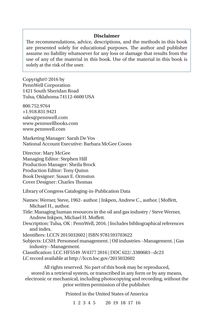#### **Disclaimer**

The recommendations, advice, descriptions, and the methods in this book are presented solely for educational purposes. The author and publisher assume no liability whatsoever for any loss or damage that results from the use of any of the material in this book. Use of the material in this book is solely at the risk of the user.

Copyright© 2016 by PennWell Corporation 1421 South Sheridan Road Tulsa, Oklahoma 74112-6600 USA

800.752.9764 +1.918.831.9421 sales@pennwell.com www.pennwellbooks.com www.pennwell.com

Marketing Manager: Sarah De Vos National Account Executive: Barbara McGee Coons

Director: Mary McGee Managing Editor: Stephen Hill Production Manager: Sheila Brock Production Editor: Tony Quinn Book Designer: Susan E. Ormston Cover Designer: Charles Thomas

Library of Congress Cataloging-in-Publication Data

Names: Werner, Steve, 1962- author. | Inkpen, Andrew C., author. | Moffett, Michael H., author. Title: Managing human resources in the oil and gas industry / Steve Werner, Andrew Inkpen, Michael H. Moffett. Description: Tulsa, OK : PennWell, 2016. | Includes bibliographical references and index. Identifiers: LCCN 2015032602 | ISBN 9781593703622 Subjects: LCSH: Personnel management. | Oil industries--Management. | Gas industry--Management. Classification: LCC HF5549 .W4377 2016 | DDC 622/.3380683--dc23 LC record available at http://lccn.loc.gov/2015032602 All rights reserved. No part of this book may be reproduced,

stored in a retrieval system, or transcribed in any form or by any means, electronic or mechanical, including photocopying and recording, without the prior written permission of the publisher.

Printed in the United States of America

1 2 3 4 5 20 19 18 17 16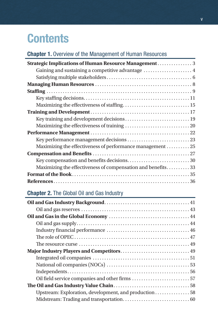# **Contents**

# Chapter 1. Overview of the Management of Human Resources

| Strategic Implications of Human Resource Management 3       |
|-------------------------------------------------------------|
| Gaining and sustaining a competitive advantage  4           |
|                                                             |
|                                                             |
|                                                             |
|                                                             |
| Maximizing the effectiveness of staffing 15                 |
|                                                             |
| Key training and development decisions 19                   |
|                                                             |
|                                                             |
|                                                             |
| Maximizing the effectiveness of performance management 25   |
|                                                             |
|                                                             |
| Maximizing the effectiveness of compensation and benefits33 |
|                                                             |
|                                                             |
|                                                             |

### Chapter 2. The Global Oil and Gas Industry

| Upstream: Exploration, development, and production 58 |  |
|-------------------------------------------------------|--|
|                                                       |  |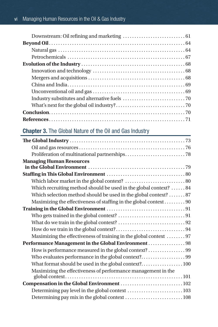# Chapter 3. The Global Nature of the Oil and Gas Industry

| <b>Managing Human Resources</b>                                    |
|--------------------------------------------------------------------|
|                                                                    |
|                                                                    |
| Which recruiting method should be used in the global context?  84  |
| Which selection method should be used in the global context?  87   |
| Maximizing the effectiveness of staffing in the global context 90  |
|                                                                    |
|                                                                    |
|                                                                    |
|                                                                    |
| Maximizing the effectiveness of training in the global context  97 |
| Performance Management in the Global Environment  98               |
| How is performance measured in the global context?99               |
|                                                                    |
| What format should be used in the global context? 100              |
| Maximizing the effectiveness of performance management in the      |
| Compensation in the Global Environment  102                        |
|                                                                    |
| Determining pay mix in the global context  108                     |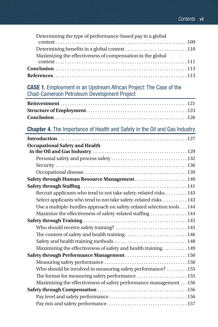| Determining the type of performance-based pay in a global  |  |
|------------------------------------------------------------|--|
|                                                            |  |
|                                                            |  |
| Maximizing the effectiveness of compensation in the global |  |
|                                                            |  |
|                                                            |  |
|                                                            |  |

CASE 1. Employment in an Upstream African Project: The Case of the Chad-Cameroon Petroleum Development Project

#### Chapter 4. The Importance of Health and Safety in the Oil and Gas Industry

| <b>Occupational Safety and Health</b>                                 |
|-----------------------------------------------------------------------|
|                                                                       |
|                                                                       |
|                                                                       |
| Safety through Human Resource Management 140                          |
|                                                                       |
| Recruit applicants who tend to not take safety-related risks 143      |
| Select applicants who tend to not take safety-related risks 143       |
| Use a multiple-hurdles approach on safety-related selection tools 144 |
| Maximize the effectiveness of safety-related staffing  144            |
|                                                                       |
|                                                                       |
| The content of safety and health training 146                         |
|                                                                       |
| Maximizing the effectiveness of safety and health training 149        |
| Safety through Performance Management150                              |
|                                                                       |
| Who should be involved in measuring safety performance?  155          |
| The format for measuring safety performance  155                      |
| Maximizing the effectiveness of safety performance management 156     |
|                                                                       |
|                                                                       |
|                                                                       |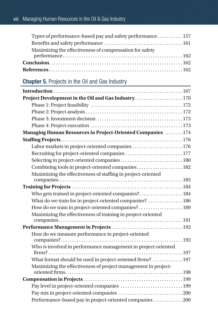| Types of performance-based pay and safety performance 157 |  |
|-----------------------------------------------------------|--|
|                                                           |  |
| Maximizing the effectiveness of compensation for safety   |  |
|                                                           |  |
|                                                           |  |
|                                                           |  |

## Chapter 5. Projects in the Oil and Gas Industry

| Project Development in the Oil and Gas Industry170             |
|----------------------------------------------------------------|
|                                                                |
|                                                                |
|                                                                |
|                                                                |
| Managing Human Resources in Project-Oriented Companies 174     |
|                                                                |
| Labor markets in project-oriented companies176                 |
| Recruiting for project-oriented companies177                   |
| Selecting in project-oriented companies180                     |
| Combining tools in project-oriented companies 182              |
| Maximizing the effectiveness of staffing in project-oriented   |
|                                                                |
|                                                                |
| Who gets trained in project-oriented companies? 184            |
| What do we train for in project-oriented companies?  186       |
| How do we train in project-oriented companies?189              |
| Maximizing the effectiveness of training in project-oriented   |
|                                                                |
|                                                                |
| How do we measure performance in project-oriented              |
| Who is involved in performance management in project-oriented  |
|                                                                |
| What format should be used in project-oriented firms?  197     |
| Maximizing the effectiveness of project management in project- |
|                                                                |
| Pay level in project-oriented companies  199                   |
|                                                                |
| Performance-based pay in project-oriented companies200         |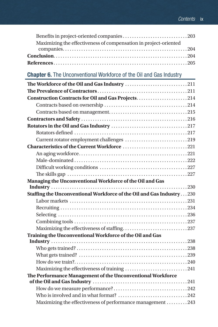| Maximizing the effectiveness of compensation in project-oriented |  |
|------------------------------------------------------------------|--|
|                                                                  |  |
|                                                                  |  |
|                                                                  |  |

# Chapter 6. The Unconventional Workforce of the Oil and Gas Industry

| Construction Contracts for Oil and Gas Projects214                   |  |
|----------------------------------------------------------------------|--|
|                                                                      |  |
|                                                                      |  |
|                                                                      |  |
|                                                                      |  |
|                                                                      |  |
| Current rotator employment challenges 219                            |  |
| Characteristics of the Current Workforce 221                         |  |
|                                                                      |  |
|                                                                      |  |
|                                                                      |  |
|                                                                      |  |
| Managing the Unconventional Workforce of the Oil and Gas             |  |
|                                                                      |  |
| Staffing the Unconventional Workforce of the Oil and Gas Industry230 |  |
|                                                                      |  |
|                                                                      |  |
|                                                                      |  |
|                                                                      |  |
|                                                                      |  |
| Training the Unconventional Workforce of the Oil and Gas             |  |
|                                                                      |  |
|                                                                      |  |
|                                                                      |  |
|                                                                      |  |
| Maximizing the effectiveness of training 241                         |  |
| The Performance Management of the Unconventional Workforce           |  |
|                                                                      |  |
|                                                                      |  |
|                                                                      |  |
| Maximizing the effectiveness of performance management 243           |  |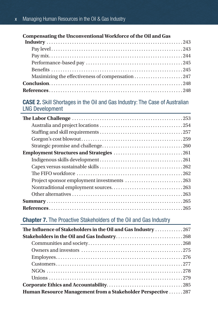#### **Compensating the Unconventional Workforce of the Oil and Gas**

#### CASE 2. Skill Shortages in the Oil and Gas Industry: The Case of Australian LNG Development

#### Chapter 7. The Proactive Stakeholders of the Oil and Gas Industry

| The Influence of Stakeholders in the Oil and Gas Industry 267 |  |
|---------------------------------------------------------------|--|
|                                                               |  |
|                                                               |  |
|                                                               |  |
|                                                               |  |
|                                                               |  |
|                                                               |  |
|                                                               |  |
|                                                               |  |
| Human Resource Management from a Stakeholder Perspective 287  |  |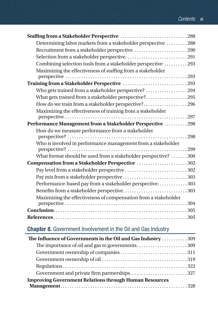| Determining labor markets from a stakeholder perspective 288    |
|-----------------------------------------------------------------|
| Recruitment from a stakeholder perspective 290                  |
|                                                                 |
| Combining selection tools from a stakeholder perspective 293    |
| Maximizing the effectiveness of staffing from a stakeholder     |
|                                                                 |
| Training from a Stakeholder Perspective 293                     |
| Who gets trained from a stakeholder perspective? 294            |
| What gets trained from a stakeholder perspective?295            |
| How do we train from a stakeholder perspective?296              |
| Maximizing the effectiveness of training from a stakeholder     |
| Performance Management from a Stakeholder Perspective 298       |
| How do we measure performance from a stakeholder                |
|                                                                 |
| Who is involved in performance management from a stakeholder    |
|                                                                 |
| What format should be used from a stakeholder perspective? 300  |
| Compensation from a Stakeholder Perspective 302                 |
| Pay level from a stakeholder perspective 302                    |
| Pay mix from a stakeholder perspective 303                      |
| Performance-based pay from a stakeholder perspective303         |
| Benefits from a stakeholder perspective303                      |
| Maximizing the effectiveness of compensation from a stakeholder |
|                                                                 |
|                                                                 |
|                                                                 |

# Chapter 8. Government Involvement in the Oil and Gas Industry

| The Influence of Governments in the Oil and Gas Industry  309 |  |
|---------------------------------------------------------------|--|
| The importance of oil and gas to governments309               |  |
| Government ownership of companies 311                         |  |
|                                                               |  |
|                                                               |  |
| Government and private firm partnerships327                   |  |
| <b>Improving Government Relations through Human Resources</b> |  |
|                                                               |  |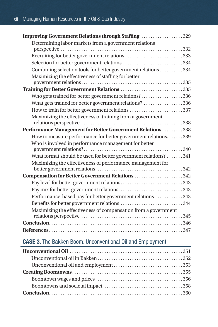| Improving Government Relations through Staffing 329             |
|-----------------------------------------------------------------|
| Determining labor markets from a government relations           |
|                                                                 |
| Recruiting for better government relations 333                  |
| Selection for better government relations 334                   |
| Combining selection tools for better government relations 334   |
| Maximizing the effectiveness of staffing for better             |
|                                                                 |
| Training for Better Government Relations 335                    |
| Who gets trained for better government relations?336            |
| What gets trained for better government relations? 336          |
| How to train for better government relations 337                |
| Maximizing the effectiveness of training from a government      |
|                                                                 |
| Performance Management for Better Government Relations 338      |
| How to measure performance for better government relations. 339 |
| Who is involved in performance management for better            |
|                                                                 |
| What format should be used for better government relations? 341 |
| Maximizing the effectiveness of performance management for      |
|                                                                 |
| Compensation for Better Government Relations 342                |
| Pay level for better government relations343                    |
| Pay mix for better government relations343                      |
| Performance-based pay for better government relations 343       |
| Benefits for better government relations 344                    |
| Maximizing the effectiveness of compensation from a government  |
|                                                                 |
|                                                                 |
|                                                                 |

# CASE 3. The Bakken Boom: Unconventional Oil and Employment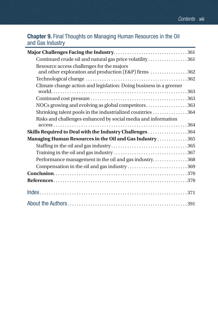# Chapter 9. Final Thoughts on Managing Human Resources in the Oil and Gas Industry

| Continued crude oil and natural gas price volatility361            |
|--------------------------------------------------------------------|
| Resource access challenges for the majors                          |
| and other exploration and production (E&P) firms 362               |
|                                                                    |
| Climate change action and legislation: Doing business in a greener |
|                                                                    |
|                                                                    |
| NOCs growing and evolving as global competitors363                 |
| Shrinking talent pools in the industrialized countries 364         |
| Risks and challenges enhanced by social media and information      |
|                                                                    |
| Skills Required to Deal with the Industry Challenges 364           |
| Managing Human Resources in the Oil and Gas Industry365            |
|                                                                    |
|                                                                    |
| Performance management in the oil and gas industry368              |
| Compensation in the oil and gas industry369                        |
|                                                                    |
|                                                                    |
|                                                                    |
|                                                                    |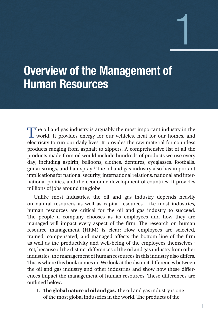# Overview of the Management of Human Resources

The oil and gas industry is arguably the most important industry in the world. It provides energy for our vehicles, heat for our homes, and electricity to run our daily lives. It provides the raw material for countless products ranging from asphalt to zippers. A comprehensive list of all the products made from oil would include hundreds of products we use every day, including aspirin, balloons, clothes, dentures, eyeglasses, footballs, guitar strings, and hair spray.1 The oil and gas industry also has important implications for national security, international relations, national and international politics, and the economic development of countries. It provides millions of jobs around the globe.

Unlike most industries, the oil and gas industry depends heavily on natural resources as well as capital resources. Like most industries, human resources are critical for the oil and gas industry to succeed. The people a company chooses as its employees and how they are managed will impact every aspect of the firm. The research on human resource management (HRM) is clear: How employees are selected, trained, compensated, and managed affects the bottom line of the firm as well as the productivity and well-being of the employees themselves.2 Yet, because of the distinct differences of the oil and gas industry from other industries, the management of human resources in this industry also differs. This is where this book comes in. We look at the distinct differences between the oil and gas industry and other industries and show how these differences impact the management of human resources. These differences are outlined below:

1. **The global nature of oil and gas.** The oil and gas industry is one of the most global industries in the world. The products of the

1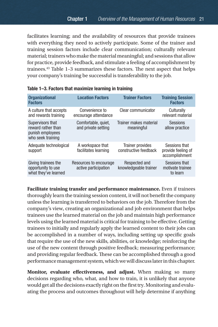facilitates learning; and the availability of resources that provide trainees with everything they need to actively participate. Some of the trainer and training session factors include clear communication; culturally relevant material; trainers who make the material meaningful; and sessions that allow for practice, provide feedback, and stimulate a feeling of accomplishment by trainees.43 Table 1–3 summarizes these factors. The next aspect that helps your company's training be successful is transferability to the job.

| <b>Organizational</b><br><b>Factors</b>                                         | <b>Location Factors</b>                        | <b>Trainer Factors</b>                           | <b>Training Session</b><br><b>Factors</b>             |
|---------------------------------------------------------------------------------|------------------------------------------------|--------------------------------------------------|-------------------------------------------------------|
| A culture that accepts<br>and rewards training                                  | Convenience to<br>encourage attendance         | Clear communicator                               | Culturally<br>relevant material                       |
| Supervisors that<br>reward rather than<br>punish employees<br>who seek training | Comfortable, quiet,<br>and private setting     | Trainer makes material<br>meaningful             | Sessions<br>allow practice                            |
| Adequate technological<br>support                                               | A workspace that<br>facilitates learning       | <b>Trainer provides</b><br>constructive feedback | Sessions that<br>provide feeling of<br>accomplishment |
| Giving trainees the<br>opportunity to use<br>what they've learned               | Resources to encourage<br>active participation | Respected and<br>knowledgeable trainer           | Sessions that<br>motivate trainee<br>to learn         |

**Facilitate training transfer and performance maintenance.** Even if trainees thoroughly learn the training session content, it will not benefit the company unless the learning is transferred to behaviors on the job. Therefore from the company's view, creating an organizational and job environment that helps trainees use the learned material on the job and maintain high performance levels using the learned material is critical for training to be effective. Getting trainees to initially and regularly apply the learned content to their jobs can be accomplished in a number of ways, including setting up specific goals that require the use of the new skills, abilities, or knowledge; reinforcing the use of the new content through positive feedback; measuring performance; and providing regular feedback. These can be accomplished through a good performance management system, which we will discuss later in this chapter.

**Monitor, evaluate effectiveness, and adjust.** When making so many decisions regarding who, what, and how to train, it is unlikely that anyone would get all the decisions exactly right on the first try. Monitoring and evaluating the process and outcomes throughout will help determine if anything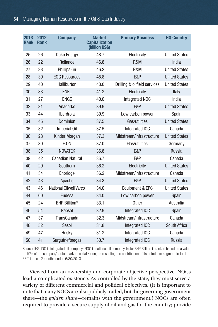#### Managing Human Resources in the Oil & Gas Industry

| 2013<br><b>Rank</b> | 2012<br><b>Rank</b> | <b>Company</b>          | <b>Market</b><br><b>Capitalization</b><br>(billion US\$) | <b>Primary Business</b>      | <b>HQ Country</b>    |
|---------------------|---------------------|-------------------------|----------------------------------------------------------|------------------------------|----------------------|
| 25                  | 26                  | <b>Duke Energy</b>      | 48.7                                                     | Electricity                  | <b>United States</b> |
| 26                  | 22                  | Reliance                | 46.8                                                     | R&M                          | India                |
| 27                  | 38                  | Phillips 66             | 46.2                                                     | R&M                          | <b>United States</b> |
| 28                  | 39                  | <b>EOG Resources</b>    | 45.8                                                     | E&P                          | <b>United States</b> |
| 29                  | 40                  | Halliburton             | 43.0                                                     | Drilling & oilfield services | <b>United States</b> |
| 30                  | 33                  | <b>ENEL</b>             | 41.2                                                     | Electricity                  | Italy                |
| 31                  | 27                  | ONGC                    | 40.0                                                     | Integrated NOC               | India                |
| 32                  | 31                  | Anadarko                | 39.9                                                     | E&P                          | <b>United States</b> |
| 33                  | 44                  | Iberdrola               | 39.9                                                     | Low carbon power             | Spain                |
| 34                  | 45                  | Dominion                | 37.5                                                     | Gas/utilities                | <b>United States</b> |
| 35                  | 32                  | Imperial Oil            | 37.5                                                     | Integrated IOC               | Canada               |
| 36                  | 28                  | Kinder Morgan           | 37.3                                                     | Midstream/infrastructure     | <b>United States</b> |
| 37                  | 30                  | E.ON                    | 37.0                                                     | Gas/utilities                | Germany              |
| 38                  | 35                  | <b>NOVATEK</b>          | 36.8                                                     | E&P                          | Russia               |
| 39                  | 42                  | <b>Canadian Natural</b> | 36.7                                                     | E&P                          | Canada               |
| 40                  | 29                  | Southern                | 36.2                                                     | Electricity                  | <b>United States</b> |
| 41                  | 34                  | Enbridge                | 36.2                                                     | Midstream/infrastructure     | Canada               |
| 42                  | 43                  | Apache                  | 34.3                                                     | E&P                          | <b>United States</b> |
| 43                  | 46                  | National Oilwell Varco  | 34.0                                                     | Equipment & EPC              | <b>United States</b> |
| 44                  | 60                  | Endesa                  | 34.0                                                     | Low carbon power             | Spain                |
| 45                  | 24                  | <b>BHP Billiton*</b>    | 33.1                                                     | <b>Other</b>                 | Australia            |
| 46                  | 54                  | Repsol                  | 32.9                                                     | Integrated IOC               | Spain                |
| 47                  | 37                  | <b>TransCanada</b>      | 32.3                                                     | Midstream/infrastructure     | Canada               |
| 48                  | 52                  | Sasol                   | 31.8                                                     | Integrated IOC               | South Africa         |
| 49                  | 47                  | Husky                   | 31.2                                                     | Integrated IOC               | Canada               |
| 50                  | 41                  | Surgutneftnegaz         | 30.7                                                     | Integrated IOC               | Russia               |

Source: IHS. IOC is integrated oil company; NOC is national oil company. Note: BHP Billiton is ranked based on a value of 19% of the company's total market capitalization, representing the contribution of its petroleum segment to total EBIT in the 12 months ended 6/30/2013.

Viewed from an ownership and corporate objective perspective, NOCs lead a complicated existence. As controlled by the state, they must serve a variety of different commercial and political objectives. (It is important to note that many NOCs are also publicly traded, but the governing government share—the *golden share*—remains with the government.) NOCs are often required to provide a secure supply of oil and gas for the country; provide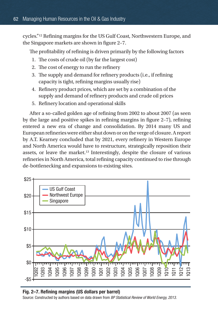cycles."12 Refining margins for the US Gulf Coast, Northwestern Europe, and the Singapore markets are shown in figure 2–7.

The profitability of refining is driven primarily by the following factors

- 1. The costs of crude oil (by far the largest cost)
- 2. The cost of energy to run the refinery
- 3. The supply and demand for refinery products (i.e., if refining capacity is tight, refining margins usually rise)
- 4. Refinery product prices, which are set by a combination of the supply and demand of refinery products and crude oil prices
- 5. Refinery location and operational skills

After a so-called golden age of refining from 2002 to about 2007 (as seen by the large and positive spikes in refining margins in figure 2–7), refining entered a new era of change and consolidation. By 2014 many US and European refineries were either shut down or on the verge of closure. A report by A.T. Kearney concluded that by 2021, every refinery in Western Europe and North America would have to restructure, strategically reposition their assets, or leave the market.13 Interestingly, despite the closure of various refineries in North America, total refining capacity continued to rise through de-bottlenecking and expansions to existing sites.



#### Fig. 2–7. Refining margins (US dollars per barrel)

*of World Energy, 2013*. Source: Constructed by authors based on data drawn from *BP Statistical Review of World Energy, 2013*.